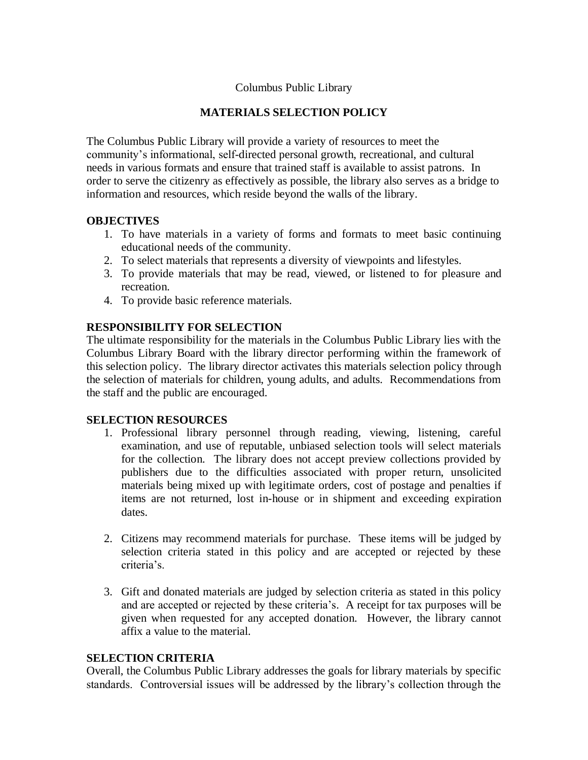## Columbus Public Library

## **MATERIALS SELECTION POLICY**

The Columbus Public Library will provide a variety of resources to meet the community's informational, self-directed personal growth, recreational, and cultural needs in various formats and ensure that trained staff is available to assist patrons. In order to serve the citizenry as effectively as possible, the library also serves as a bridge to information and resources, which reside beyond the walls of the library.

### **OBJECTIVES**

- 1. To have materials in a variety of forms and formats to meet basic continuing educational needs of the community.
- 2. To select materials that represents a diversity of viewpoints and lifestyles.
- 3. To provide materials that may be read, viewed, or listened to for pleasure and recreation.
- 4. To provide basic reference materials.

### **RESPONSIBILITY FOR SELECTION**

The ultimate responsibility for the materials in the Columbus Public Library lies with the Columbus Library Board with the library director performing within the framework of this selection policy. The library director activates this materials selection policy through the selection of materials for children, young adults, and adults. Recommendations from the staff and the public are encouraged.

#### **SELECTION RESOURCES**

- 1. Professional library personnel through reading, viewing, listening, careful examination, and use of reputable, unbiased selection tools will select materials for the collection. The library does not accept preview collections provided by publishers due to the difficulties associated with proper return, unsolicited materials being mixed up with legitimate orders, cost of postage and penalties if items are not returned, lost in-house or in shipment and exceeding expiration dates.
- 2. Citizens may recommend materials for purchase. These items will be judged by selection criteria stated in this policy and are accepted or rejected by these criteria's.
- 3. Gift and donated materials are judged by selection criteria as stated in this policy and are accepted or rejected by these criteria's. A receipt for tax purposes will be given when requested for any accepted donation. However, the library cannot affix a value to the material.

#### **SELECTION CRITERIA**

Overall, the Columbus Public Library addresses the goals for library materials by specific standards. Controversial issues will be addressed by the library's collection through the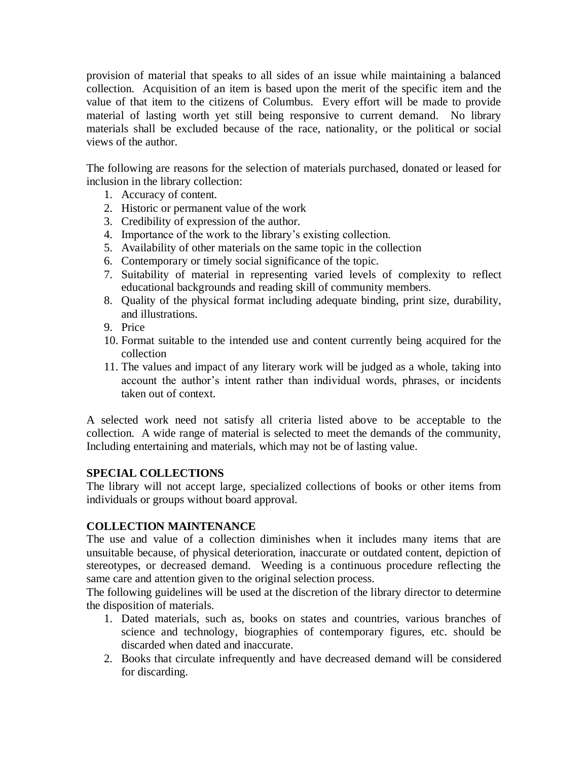provision of material that speaks to all sides of an issue while maintaining a balanced collection. Acquisition of an item is based upon the merit of the specific item and the value of that item to the citizens of Columbus. Every effort will be made to provide material of lasting worth yet still being responsive to current demand. No library materials shall be excluded because of the race, nationality, or the political or social views of the author.

The following are reasons for the selection of materials purchased, donated or leased for inclusion in the library collection:

- 1. Accuracy of content.
- 2. Historic or permanent value of the work
- 3. Credibility of expression of the author.
- 4. Importance of the work to the library's existing collection.
- 5. Availability of other materials on the same topic in the collection
- 6. Contemporary or timely social significance of the topic.
- 7. Suitability of material in representing varied levels of complexity to reflect educational backgrounds and reading skill of community members.
- 8. Quality of the physical format including adequate binding, print size, durability, and illustrations.
- 9. Price
- 10. Format suitable to the intended use and content currently being acquired for the collection
- 11. The values and impact of any literary work will be judged as a whole, taking into account the author's intent rather than individual words, phrases, or incidents taken out of context.

A selected work need not satisfy all criteria listed above to be acceptable to the collection. A wide range of material is selected to meet the demands of the community, Including entertaining and materials, which may not be of lasting value.

## **SPECIAL COLLECTIONS**

The library will not accept large, specialized collections of books or other items from individuals or groups without board approval.

## **COLLECTION MAINTENANCE**

The use and value of a collection diminishes when it includes many items that are unsuitable because, of physical deterioration, inaccurate or outdated content, depiction of stereotypes, or decreased demand. Weeding is a continuous procedure reflecting the same care and attention given to the original selection process.

The following guidelines will be used at the discretion of the library director to determine the disposition of materials.

- 1. Dated materials, such as, books on states and countries, various branches of science and technology, biographies of contemporary figures, etc. should be discarded when dated and inaccurate.
- 2. Books that circulate infrequently and have decreased demand will be considered for discarding.